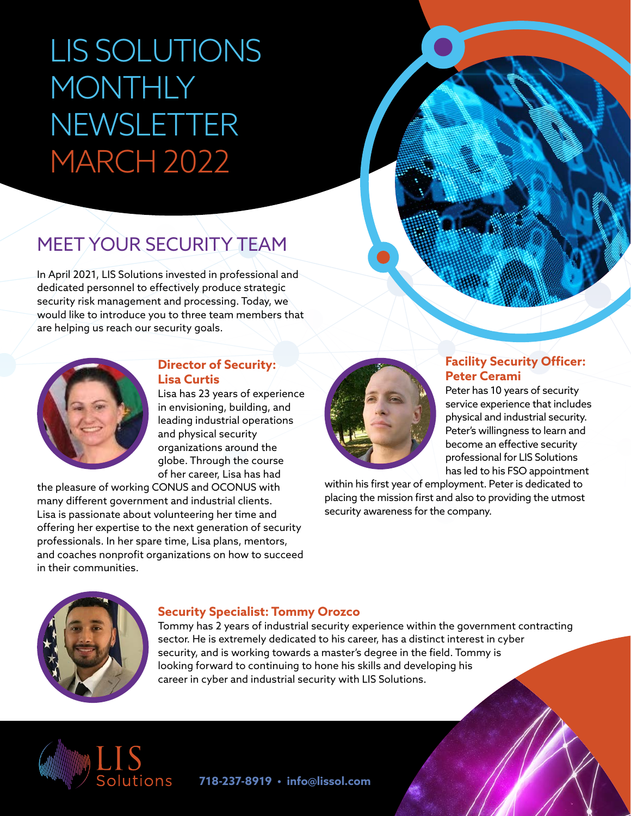# LIS SOLUTIONS MONTHLY NEWSLETTER MARCH 2022

## MEET YOUR SECURITY TEAM

In April 2021, LIS Solutions invested in professional and dedicated personnel to effectively produce strategic security risk management and processing. Today, we would like to introduce you to three team members that are helping us reach our security goals.



#### **Director of Security: Lisa Curtis**

Lisa has 23 years of experience in envisioning, building, and leading industrial operations and physical security organizations around the globe. Through the course of her career, Lisa has had

the pleasure of working CONUS and OCONUS with many different government and industrial clients. Lisa is passionate about volunteering her time and offering her expertise to the next generation of security professionals. In her spare time, Lisa plans, mentors, and coaches nonprofit organizations on how to succeed in their communities.



#### **Facility Security Officer: Peter Cerami**

Peter has 10 years of security service experience that includes physical and industrial security. Peter's willingness to learn and become an effective security professional for LIS Solutions has led to his FSO appointment

within his first year of employment. Peter is dedicated to placing the mission first and also to providing the utmost security awareness for the company.



#### **Security Specialist: Tommy Orozco**

Tommy has 2 years of industrial security experience within the government contracting sector. He is extremely dedicated to his career, has a distinct interest in cyber security, and is working towards a master's degree in the field. Tommy is looking forward to continuing to hone his skills and developing his career in cyber and industrial security with LIS Solutions.



**718-237-8919 • info@lissol.com**